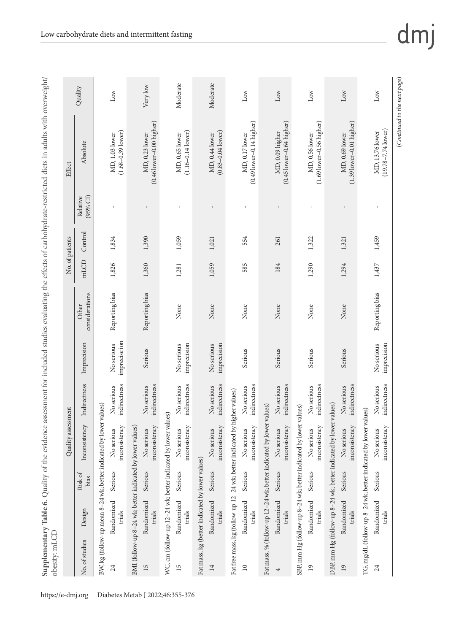|                                                           |                      |                 | Quality assessment                                                 |                            |                             |                         |       | No. of patients |                      | Effect                                          |          |
|-----------------------------------------------------------|----------------------|-----------------|--------------------------------------------------------------------|----------------------------|-----------------------------|-------------------------|-------|-----------------|----------------------|-------------------------------------------------|----------|
| No. of studies                                            | Design               | Risk of<br>bias | Inconsistency                                                      | Indirectness               | Imprecision                 | considerations<br>Other | mLCD  | Control         | (95% CI)<br>Relative | Absolute                                        | Quality  |
|                                                           |                      |                 | BW, kg (follow-up mean 8-24 wk; better indicated by lower values)  |                            |                             |                         |       |                 |                      |                                                 |          |
| 24                                                        | Randomized<br>trials | Serious         | inconsistency<br>No serious                                        | indirectness<br>No serious | imprecise ion<br>No serious | Reporting bias          | 1,826 | 1,834           |                      | $(1.68 - 0.39$ lower)<br>MD, 1.03 lower         | Low      |
| BMI (follow-up 8-24 wk; better indicated by lower values) |                      |                 |                                                                    |                            |                             |                         |       |                 |                      |                                                 |          |
| 15                                                        | Randomized<br>trials | Serious         | inconsistency<br>No serious                                        | indirectness<br>No serious | Serious                     | Reporting bias          | 1,360 | 1,390           |                      | $(0.46$ lower $-0.00$ higher)<br>MD, 0.23 lower | Very low |
|                                                           |                      |                 | WC, cm (follow-up 12-24 wk; better indicated by lower values)      |                            |                             |                         |       |                 |                      |                                                 |          |
| 15                                                        | Randomized<br>trials | Serious         | inconsistency<br>No serious                                        | indirectness<br>No serious | imprecision<br>No serious   | None                    | 1,281 | 1,059           |                      | $(1.16 - 0.14$ lower)<br>MD, 0.65 lower         | Moderate |
| Fat mass, kg (better indicated by lower values)           |                      |                 |                                                                    |                            |                             |                         |       |                 |                      |                                                 |          |
| $\overline{14}$                                           | Randomized<br>trials | Serious         | inconsistency<br>No serious                                        | indirectness<br>No serious | imprecision<br>No serious   | None                    | 1,059 | 1,021           |                      | $(0.83 - 0.04$ lower)<br>MD, 0.44 lower         | Moderate |
| Fat free mass, kg (follow-up 12-24 wk; better indicated   |                      |                 |                                                                    | by higher values)          |                             |                         |       |                 |                      |                                                 |          |
| $\approx$                                                 | Randomized<br>trials | Serious         | inconsistency<br>No serious                                        | indirectness<br>No serious | Serious                     | None                    | 585   | 554             |                      | $(0.49$ lower-0.14 higher)<br>MD, 0.17 lower    | Low      |
|                                                           |                      |                 | Fat mass, % (follow-up 12-24 wk; better indicated by lower values) |                            |                             |                         |       |                 |                      |                                                 |          |
| 4                                                         | Randomized<br>trials | Serious         | inconsistency<br>No serious                                        | indirectness<br>No serious | Serious                     | None                    | 184   | 261             |                      | $(0.45$ lower-0.64 higher)<br>MD, 0.09 higher   | Low      |
|                                                           |                      |                 | SBP, mm Hg (follow-up 8-24 wk; better indicated by lower values)   |                            |                             |                         |       |                 |                      |                                                 |          |
| $\overline{19}$                                           | Randomized<br>trials | Serious         | inconsistency<br>No serious                                        | indirectness<br>No serious | Serious                     | None                    | 1,290 | 1,322           |                      | $(1.69$ lower-0.56 higher)<br>MD, 0.56 lower    | Low      |
|                                                           |                      |                 | DBP, mm Hg (follow-up 8-24 wk; better indicated by lower values)   |                            |                             |                         |       |                 |                      |                                                 |          |
| $^{19}$                                                   | Randomized<br>trials | Serious         | inconsistency<br>No serious                                        | indirectness<br>No serious | Serious                     | None                    | 1,294 | 1,321           |                      | $(1.39$ lower-0.01 higher)<br>MD, 0.69 lower    | Low      |
|                                                           |                      |                 | TG, mg/dL (follow-up 8-24 wk; better indicated by lower values)    |                            |                             |                         |       |                 |                      |                                                 |          |
| 24                                                        | Randomized<br>trials | Serious         | inconsistency<br>No serious                                        | indirectness<br>No serious | imprecision<br>No serious   | Reporting bias          | 1,437 | 1,459           |                      | $(19.78 - 7.74$ lower)<br>MD, 13.76 lower       | Low      |

(*Continued to the next page*)

 $(Continued\ to\ the\ next\ page)$